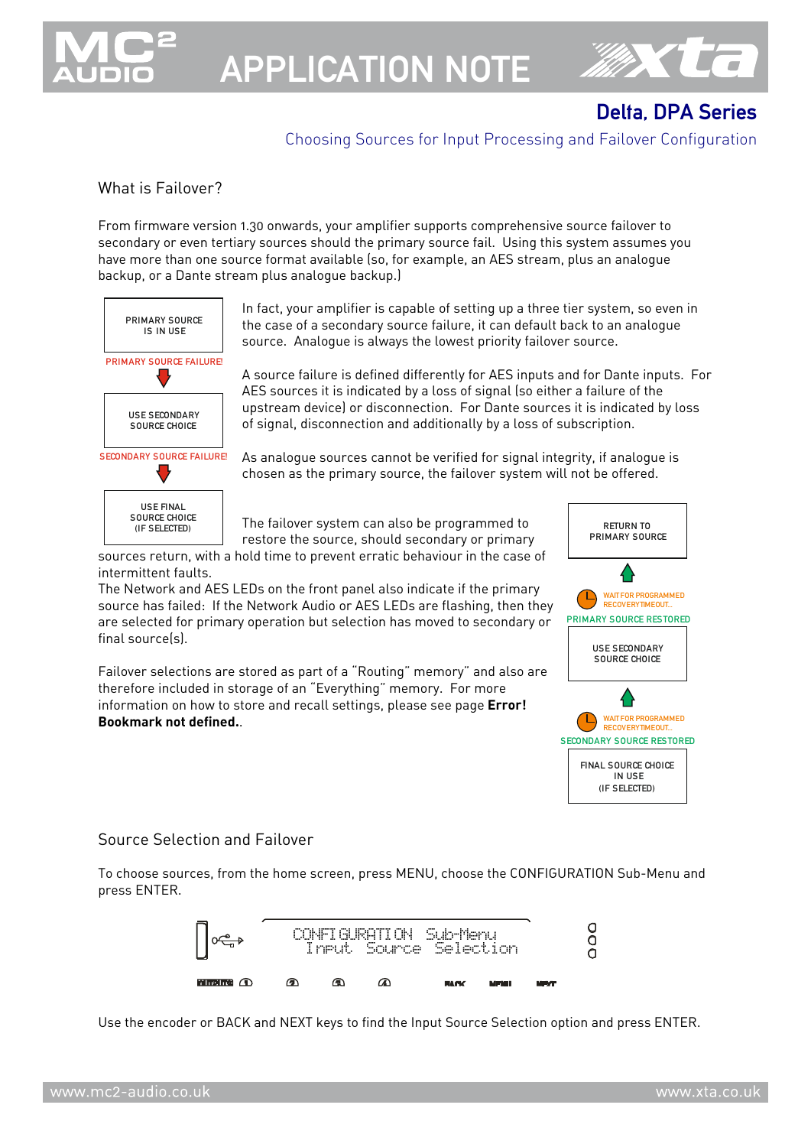

APPLICATION NOTE



### Delta, DPA Series

### Choosing Sources for Input Processing and Failover Configuration

#### What is Failover?

From firmware version 1.30 onwards, your amplifier supports comprehensive source failover to secondary or even tertiary sources should the primary source fail. Using this system assumes you have more than one source format available (so, for example, an AES stream, plus an analogue backup, or a Dante stream plus analogue backup.)



In fact, your amplifier is capable of setting up a three tier system, so even in the case of a secondary source failure, it can default back to an analogue source. Analogue is always the lowest priority failover source.

A source failure is defined differently for AES inputs and for Dante inputs. For AES sources it is indicated by a loss of signal (so either a failure of the upstream device) or disconnection. For Dante sources it is indicated by loss of signal, disconnection and additionally by a loss of subscription.

As analogue sources cannot be verified for signal integrity, if analogue is chosen as the primary source, the failover system will not be offered.

The failover system can also be programmed to restore the source, should secondary or primary

sources return, with a hold time to prevent erratic behaviour in the case of intermittent faults.

The Network and AES LEDs on the front panel also indicate if the primary source has failed: If the Network Audio or AES LEDs are flashing, then they are selected for primary operation but selection has moved to secondary or final source(s).

Failover selections are stored as part of a "Routing" memory" and also are therefore included in storage of an "Everything" memory. For more information on how to store and recall settings, please see page **Error! Bookmark not defined.**.



#### Source Selection and Failover

To choose sources, from the home screen, press MENU, choose the CONFIGURATION Sub-Menu and press ENTER.



Use the encoder or BACK and NEXT keys to find the Input Source Selection option and press ENTER.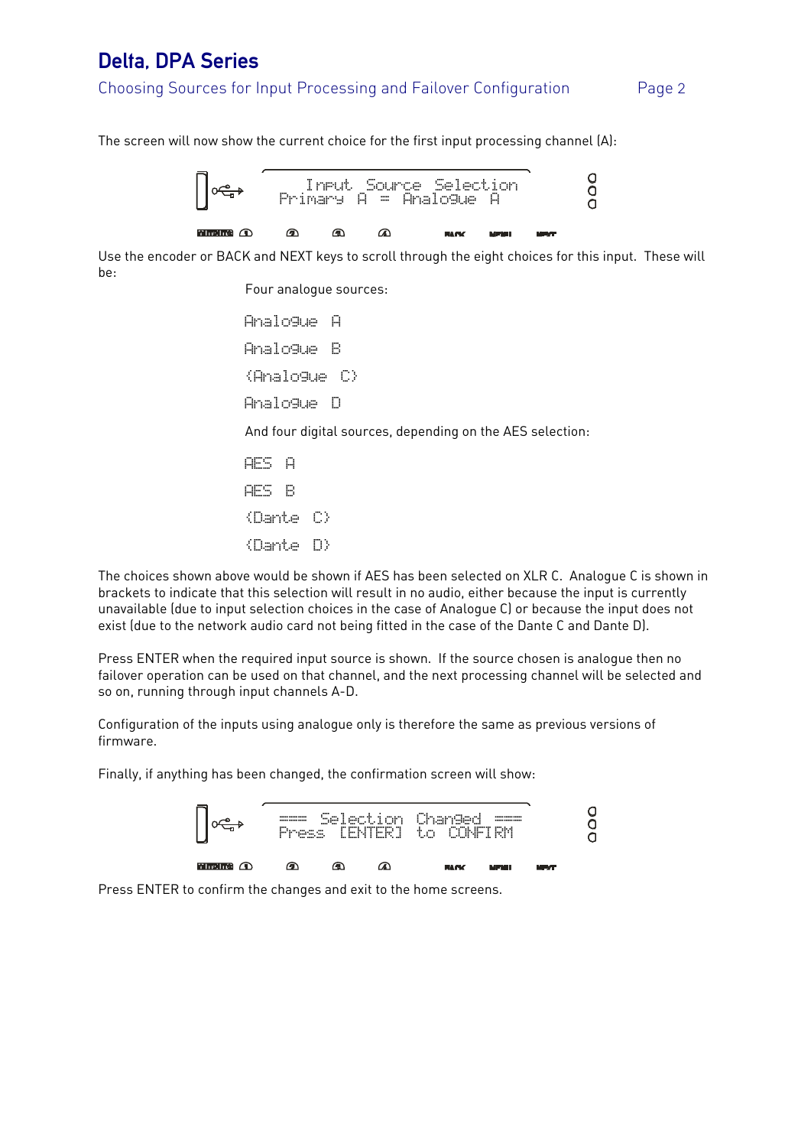### Delta, DPA Series

### Choosing Sources for Input Processing and Failover Configuration Page 2

The screen will now show the current choice for the first input processing channel (A):



Use the encoder or BACK and NEXT keys to scroll through the eight choices for this input. These will be:

Four analogue sources:

 Analogue A Analogue B {Analogue C} Analogue D And four digital sources, depending on the AES selection: AES A AES B {Dante C}

{Dante D}

The choices shown above would be shown if AES has been selected on XLR C. Analogue C is shown in brackets to indicate that this selection will result in no audio, either because the input is currently unavailable (due to input selection choices in the case of Analogue C) or because the input does not exist (due to the network audio card not being fitted in the case of the Dante C and Dante D).

Press ENTER when the required input source is shown. If the source chosen is analogue then no failover operation can be used on that channel, and the next processing channel will be selected and so on, running through input channels A-D.

Configuration of the inputs using analogue only is therefore the same as previous versions of firmware.

Finally, if anything has been changed, the confirmation screen will show:



Press ENTER to confirm the changes and exit to the home screens.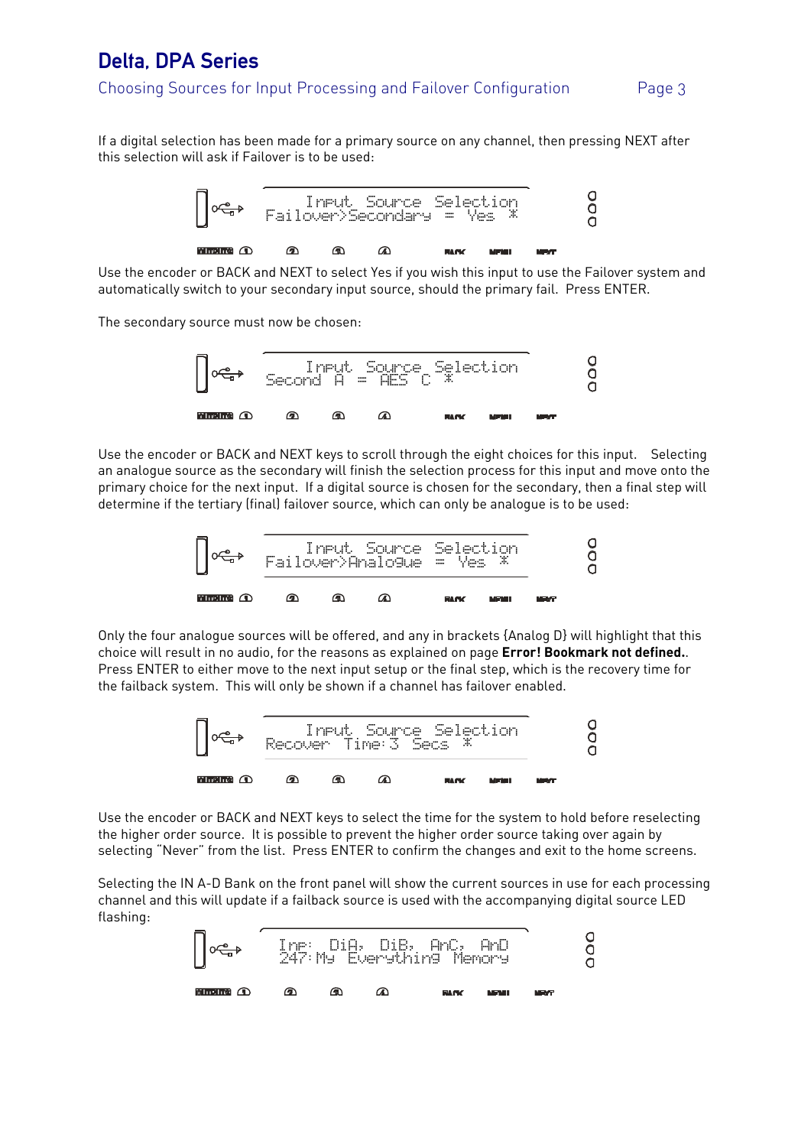## Delta, DPA Series

#### Choosing Sources for Input Processing and Failover Configuration Page 3

If a digital selection has been made for a primary source on any channel, then pressing NEXT after this selection will ask if Failover is to be used:



Use the encoder or BACK and NEXT to select Yes if you wish this input to use the Failover system and automatically switch to your secondary input source, should the primary fail. Press ENTER.

The secondary source must now be chosen:



Use the encoder or BACK and NEXT keys to scroll through the eight choices for this input. Selecting an analogue source as the secondary will finish the selection process for this input and move onto the primary choice for the next input. If a digital source is chosen for the secondary, then a final step will determine if the tertiary (final) failover source, which can only be analogue is to be used:



Only the four analogue sources will be offered, and any in brackets {Analog D} will highlight that this choice will result in no audio, for the reasons as explained on page **Error! Bookmark not defined.**. Press ENTER to either move to the next input setup or the final step, which is the recovery time for the failback system. This will only be shown if a channel has failover enabled.



Use the encoder or BACK and NEXT keys to select the time for the system to hold before reselecting the higher order source. It is possible to prevent the higher order source taking over again by selecting "Never" from the list. Press ENTER to confirm the changes and exit to the home screens.

Selecting the IN A-D Bank on the front panel will show the current sources in use for each processing channel and this will update if a failback source is used with the accompanying digital source LED flashing: